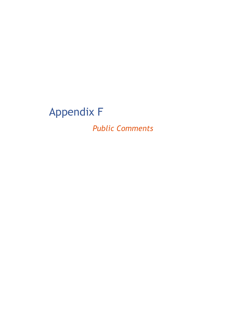## Appendix F

*Public Comments*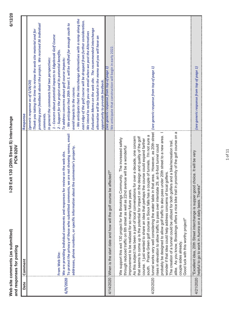| comments (as submitted, |                       |
|-------------------------|-----------------------|
|                         | responses for posting |
| site                    |                       |
| Web                     | and                   |

| Date     | Comment                                                                                                                                                                                                                                                                                                                                                                                                                                                                                                                                                                                                                                                                                                                                                                                                                                                                                                                                                                                                                                                                                                                                                                                                                                                | Response                                                                                                                                                                                                                                                                                                                                                                                                                                                                                                                                                                                                                                                                                                                                                                                                                                                                                                                         |
|----------|--------------------------------------------------------------------------------------------------------------------------------------------------------------------------------------------------------------------------------------------------------------------------------------------------------------------------------------------------------------------------------------------------------------------------------------------------------------------------------------------------------------------------------------------------------------------------------------------------------------------------------------------------------------------------------------------------------------------------------------------------------------------------------------------------------------------------------------------------------------------------------------------------------------------------------------------------------------------------------------------------------------------------------------------------------------------------------------------------------------------------------------------------------------------------------------------------------------------------------------------------------|----------------------------------------------------------------------------------------------------------------------------------------------------------------------------------------------------------------------------------------------------------------------------------------------------------------------------------------------------------------------------------------------------------------------------------------------------------------------------------------------------------------------------------------------------------------------------------------------------------------------------------------------------------------------------------------------------------------------------------------------------------------------------------------------------------------------------------------------------------------------------------------------------------------------------------|
| 6/9/2020 | To protect the privacy of those who submitted comments, we are not showing names, email<br>addresses, phone numbers, or specific information about the commenter's property.<br>We are providing individual comments and responses for review on the web site.<br>From Web Site:                                                                                                                                                                                                                                                                                                                                                                                                                                                                                                                                                                                                                                                                                                                                                                                                                                                                                                                                                                       | - We anticipate that the interchange alternatives with a ramp along the<br>east edge of the golf course will be dropped from further consideration.<br>providing your feedback about the project. We received 36 individual<br>- We anticipate that 20th Street S. will be shifted far enough south to<br>Evaluation Memo on the web site. The recommended interchange<br>Thank you taking the time to review the web site material and for<br>We intend to notify you via email when we post the Alternatives<br>1 - Concern about potential impacts to Edgebrook Golf Course<br>alternative will be included in the memo and you will have an<br>- Support for the project and its potential benefits.<br>In general the comments had two perspectives:<br>To address concerns about golf course impacts:<br>opportunity to provide feedback.<br>(generic response as of 5/28/20)<br>avoid impacts to the course.<br>comments. |
|          | 4/14/2020 IWhen is the start date and how will the golf course be affected?"                                                                                                                                                                                                                                                                                                                                                                                                                                                                                                                                                                                                                                                                                                                                                                                                                                                                                                                                                                                                                                                                                                                                                                           | We anticipate that construction will begin in early 2022<br>(see generic response from top of page 1)                                                                                                                                                                                                                                                                                                                                                                                                                                                                                                                                                                                                                                                                                                                                                                                                                            |
|          | 4/20/2020 itunnel works very well considering the water table in that area. However, as 20th street<br>in proximity of the golf course on a<br>probably be designed to allow golf traffic to also pass under 20th street to a new area. I<br>couple of tunnels. I'm not sure a<br>As this subject has been a part of local conversations for over a decade, one concern<br>the design and quality of the golf<br>We support this exit 130 project for the Brookings Community. The increased safety<br>the course could expand farther<br>The creation of a tunnel could be utilized for both golfers and a bike/recreation trail,<br>rises in elevation to allow traffic to pass over interstate 29, an 8-foot tunnel could<br>avenue will be a wonderful<br>wonder if that idea could help address concerns of local golfers.<br>through reduced traffic on 6th street as well as 22nd<br>improvement to be realized for so many future years.<br>south. Prairie Green golf course in Sioux falls has a<br>alike. As you know, Brookings offers a nice bike trail<br>that seems to come up is the potential for impact on<br>course. I just wanted to share an idea that perhaps to<br>Good luck with this worthy project!"<br>couple sides already. | (see generic response from top of page $1)$                                                                                                                                                                                                                                                                                                                                                                                                                                                                                                                                                                                                                                                                                                                                                                                                                                                                                      |
|          | 4/21/2020   Excellent idea, 20th Street interchange is supper good choice. It will be very<br>4/21/2020  helpful to go to work in Aurora on a daily basis. Thanks"                                                                                                                                                                                                                                                                                                                                                                                                                                                                                                                                                                                                                                                                                                                                                                                                                                                                                                                                                                                                                                                                                     | (see generic response from top of page 1)                                                                                                                                                                                                                                                                                                                                                                                                                                                                                                                                                                                                                                                                                                                                                                                                                                                                                        |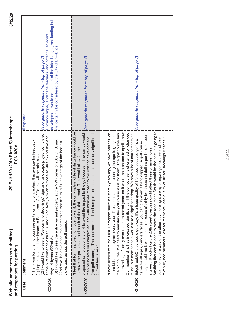| $\frac{1}{2}$       |                          |
|---------------------|--------------------------|
| n<br>Elle<br>5<br>3 |                          |
| ە<br>ئ              | ostir<br>č               |
| <b>comments</b>     | $\overline{\phantom{a}}$ |
| ž<br>:              | responses                |
| Web                 | and                      |

|           | <b>PCN 020V</b><br>and responses for posting                                                                                                                                                                                                                                                                                                                                                                                                                                                                                                                                                                                                                                                                                                                                                                                                                                                                                                                                                                                                                                                                                                                                                                       |                                                                                                                                                                                                                                         |
|-----------|--------------------------------------------------------------------------------------------------------------------------------------------------------------------------------------------------------------------------------------------------------------------------------------------------------------------------------------------------------------------------------------------------------------------------------------------------------------------------------------------------------------------------------------------------------------------------------------------------------------------------------------------------------------------------------------------------------------------------------------------------------------------------------------------------------------------------------------------------------------------------------------------------------------------------------------------------------------------------------------------------------------------------------------------------------------------------------------------------------------------------------------------------------------------------------------------------------------------|-----------------------------------------------------------------------------------------------------------------------------------------------------------------------------------------------------------------------------------------|
| Date      | Comment                                                                                                                                                                                                                                                                                                                                                                                                                                                                                                                                                                                                                                                                                                                                                                                                                                                                                                                                                                                                                                                                                                                                                                                                            | Response                                                                                                                                                                                                                                |
| 4/22/2020 | (2) I would like to see a "Welcome to Brookings" sign and landscape project completed<br>to those at 6th St/22nd Ave and<br>"Thank you for this thorough presentation and for creating this avenue for feedback!<br>22nd Ave. be developed into something that can take full advantage of the beautiful<br>(3) I would like to see the entire vacant property at the NW corner of 20th St. S. and<br>(1) I appreciate that the impact to Edgebrook Golf Course will be minimized<br>at the NW corner of 20th St S. and 22nd Ave., similar<br>views east across the golf course.<br>Hwy 14 bypass/22nd Ave.                                                                                                                                                                                                                                                                                                                                                                                                                                                                                                                                                                                                         | development would not be part of the interchange grant funding but<br>Entrance signs, landscape features, and potential adjacent<br>will certainly be considered by the City of Brookings.<br>(see generic response from top of page 1) |
| 4/23/2020 | "I feel that for this project to move forward, the only option of least disturbance would be<br>e golf course. The ramps would<br>does not displace any significant<br>then be located on unimproved land with minimal impact to the existing development<br>This would allow for the<br>to move the proposed road south of the existing road.<br>proposed ramp options 3 or 4 to avoid the impact to th<br>(the golf course). The southern road and ramp option<br>current land uses."                                                                                                                                                                                                                                                                                                                                                                                                                                                                                                                                                                                                                                                                                                                            | (see generic response from top of page 1)                                                                                                                                                                                               |
| 4/21/2020 | designer told me it would cost in excess of thirty two thousand dollars per hole to rebuild<br>Anything that can be done to move the road to the South would be the best. It's going to<br>improved significantly over the more recent years so it would be a shame to spoil it now.<br>just reaching the age to go golf on<br>the big course. We need to maintain the golf course as is for them. The golf course has<br>Our member ship has increased significantly, if the golf course is shortened or changed<br>I have helped with the First T program since it's start 5 years ago, we have had 150 or<br>We have a lot of tournaments at<br>cost money one way or the other buy more right a way or repair golf course and lose<br>revenue, lose members, lose tournaments, lose quality of life for Brookings citizens."<br>EdgeBrookGC they would go away. It's a huge quality of life issue because golf is a<br>game for all ages, genders, races, you can play even if handicapped. A golf course<br>a green. It looks like the 20th street overpass could affect three or more holes.<br>much, our member ship would take a significant drop.<br>more kids in this program every year. Those kids are | (see generic response from top of page 1)                                                                                                                                                                                               |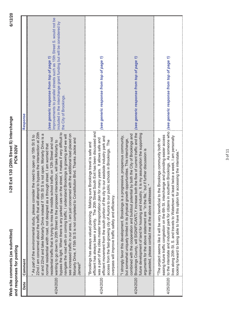|           | I-29 Exit 130 (20th Street S) Interchange<br><b>PCN 020V</b><br>Web site comments (as submitted)<br>and responses for posting                                                                                                                                                                                                                                                                                                                                                                                                                                                                                                                                                                                                                                                                                                                                                                                                                                     | 6/12/2                                                                                                                                                                                                             |
|-----------|-------------------------------------------------------------------------------------------------------------------------------------------------------------------------------------------------------------------------------------------------------------------------------------------------------------------------------------------------------------------------------------------------------------------------------------------------------------------------------------------------------------------------------------------------------------------------------------------------------------------------------------------------------------------------------------------------------------------------------------------------------------------------------------------------------------------------------------------------------------------------------------------------------------------------------------------------------------------|--------------------------------------------------------------------------------------------------------------------------------------------------------------------------------------------------------------------|
| Date      | Comment                                                                                                                                                                                                                                                                                                                                                                                                                                                                                                                                                                                                                                                                                                                                                                                                                                                                                                                                                           | <b>Response</b>                                                                                                                                                                                                    |
| 4/24/2020 | 22nd.I am concerned about the traffic that will attempt to bypass the intersection at 20th<br>bypass the light. When there is any parked cars on the street, it makes if very difficult to<br>st and 22nd and take Moriarty Drive instead if 15th St S is not open. Moriarty Drive is a<br>see increased traffic in our area, I am just concerned with the additional load placed on<br>ir the need to open up 15th St S to<br>navigate the road with on coming traffic. I understand Brookings is growing and we will<br>residential traffic that is trying to miss the middle school traffic on 12th Street and not<br>Moriarty Drive, if 15th St S is not completed to Consititution Blvd. Thanks Jackie and<br>wanting to go down to 20th Street to the proposed intersection, will take Moriarty to<br>normal residential width road, not designed as a through street. I am worried that<br>" As part of the environmental study, please conside<br>James!' | Improvements to parallel streets such as 15th Street S. would not be<br>included in the interchange grant funding but will be considered by<br>(see generic response from top of page 1)<br>the City of Brookings. |
| 4/24/2020 | efficient has always been a priority. The 20th Street South Exit has been discussed and<br>efficient movement from the south portion of the city to our eastside industry park and<br>iwas a part of the cities master transportation plan for many years. It allows safe and<br>access from the fast-growing city of Aurora to our public schools in Brookings. The<br>"Brookings has always valued planning. Making sure Brookings travel is safe and<br>overpass will improve traffic safety and efficiency.                                                                                                                                                                                                                                                                                                                                                                                                                                                   | (see generic response from top of page 1)                                                                                                                                                                          |
| 4/24/2020 | Brookings County, will SIGNIFICANTLY increase both the flow of current traffic and the<br>future development of land for housing and industry. It is my assumption the supporting<br>combined with the cooperation and buildout potential by both the City of Brookings and<br>"I strongly favor this development. Brookings is a progressive, prosperous community,<br>but somewhat uniquely limited in its physical growth opportunities. This interchange,<br>arguments for the above statement are "in the file," but if further discussion is<br>requested, please contact me at the above addresses."                                                                                                                                                                                                                                                                                                                                                       | (see generic response from top of page 1)                                                                                                                                                                          |
| 4/25/2020 | to the interstate and industrial park for citizens in southern Brookings. As someone who<br>easing future traffic congestion on the 6th St. interchange and providing easier access<br>lives along 20th St. S. and travels to Watertown at least twice a week, I am personally<br>"The project seems like it will be very beneficial to the Brookings community both for<br>accessing the interstate."<br>ooking forward to being able to have this option for                                                                                                                                                                                                                                                                                                                                                                                                                                                                                                    | (see generic response from top of page 1)                                                                                                                                                                          |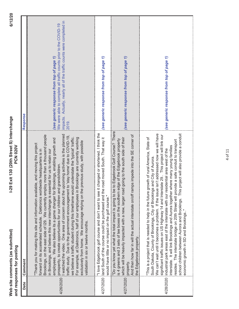| nitto'            |               |
|-------------------|---------------|
| comments (as subn | r postir      |
|                   |               |
|                   | responses for |
| o site<br>Web     | and r         |
|                   |               |

| Date      | Comment                                                                                                                                                                                                                                                                                                                                                                                                                                                                                                                                                                                                                                                                                                                                                                                                                                                                                                                                                                                                      | Response                                                                                                                                                                                         |
|-----------|--------------------------------------------------------------------------------------------------------------------------------------------------------------------------------------------------------------------------------------------------------------------------------------------------------------------------------------------------------------------------------------------------------------------------------------------------------------------------------------------------------------------------------------------------------------------------------------------------------------------------------------------------------------------------------------------------------------------------------------------------------------------------------------------------------------------------------------------------------------------------------------------------------------------------------------------------------------------------------------------------------------|--------------------------------------------------------------------------------------------------------------------------------------------------------------------------------------------------|
| 4/26/2020 | watched the video. One area of concern about the upcoming activities is the planned<br>Brookings, on the east side of I29. We currently employ more than a thousand people<br>traffic study. Due to the government encouragement to 'stay home' due to COVID-19,<br>we believe a traffic student during this timeframe would understate the 'typical' traffic.<br>Brookings are currently working<br>employees. We also believe its a game changer for Brookings, enabling growth and<br>exclusively from home. We encourage relying on the previous study, with possible<br>"Thank you for making this site and information available, and moving this project<br>in Brookings, and believe this new interchange is essential for us to retain our<br>forward on its accelerated schedule. Daktronics worldwide headquarters is in<br>prosperity, to create opportunities for our children and grandchildren<br>For example, at Daktronics, half of our employees in<br>validation in six or twelve months. | impacts. Actually, nearly all of the traffic counts were completed in<br>We were able to complete all traffic counts prior to the COVID-19<br>(see generic response from top of page 1)<br>2019. |
|           | t changed or shortened. I think the<br>road moved South. That way it<br>4/27/2020 lland South of the course could be purchased and the<br>"I love Edgebrook golf course and don't want to see i<br>would have little or no impact on the golf course."                                                                                                                                                                                                                                                                                                                                                                                                                                                                                                                                                                                                                                                                                                                                                       | (see generic response from top of page 1)                                                                                                                                                        |
| 4/27/2020 | "Do you know yet what the total impact is going to be to Edgebrook Golf Course? There<br>mps impede into the SE corner of<br>which will be heavily impacted with a new, larger road going to the south side of their<br>s 4 greens and 3 sets of tee boxes on the southern edge of the Edgebrook property<br>And then how far in will the actual interstate on/off rare<br>the Edgebrook property.<br>property                                                                                                                                                                                                                                                                                                                                                                                                                                                                                                                                                                                               | (see generic response from top of page 1)                                                                                                                                                        |
| 4/28/2020 | We can't wait until it becomes a problem. If the issue isn't addressed now we will have<br>project will also provide a conduit<br>significant traffic issues on US Highway 14 and Interstate 29 This project will link our<br>"This is a project that is needed to help in the future growth of rural America, State of<br>resides. The interstate bridge on 20th Street will provide a safe conduit to transport<br>nterstate. It will link Brookings and Aurora together where many young families<br>industrial park areas east of the interstate with our residential area west of the<br>South Dakota, County of Brookings, City of Brookings and City of Aurora.<br>school children between Aurora and Brookings. This<br>economic growth in SD and Brookings"                                                                                                                                                                                                                                         | (see generic response from top of page 1)                                                                                                                                                        |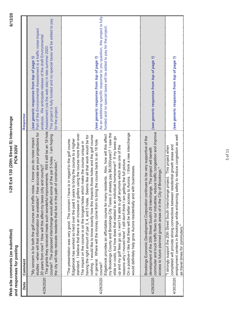| submitted                    |               |
|------------------------------|---------------|
|                              |               |
|                              | r postir      |
|                              |               |
| comments (as                 | responses for |
|                              |               |
| site<br>$\ddot{\phantom{0}}$ |               |
| Web                          | and           |

|           | <u>ונסטובאנדאנדאנדאנדאנדאנדאנדאנדאנדאנדאנדאנ</u>                                                                                                                                                                                                                                                                                                                                                                                                                                                                                                                                                                                                                                                                                                                                                                                                                                                                                                                                                                                                                                                                                                                                                                                                                           |                                                                                                                                                                                                                                                                                                                              |
|-----------|----------------------------------------------------------------------------------------------------------------------------------------------------------------------------------------------------------------------------------------------------------------------------------------------------------------------------------------------------------------------------------------------------------------------------------------------------------------------------------------------------------------------------------------------------------------------------------------------------------------------------------------------------------------------------------------------------------------------------------------------------------------------------------------------------------------------------------------------------------------------------------------------------------------------------------------------------------------------------------------------------------------------------------------------------------------------------------------------------------------------------------------------------------------------------------------------------------------------------------------------------------------------------|------------------------------------------------------------------------------------------------------------------------------------------------------------------------------------------------------------------------------------------------------------------------------------------------------------------------------|
| Date      | Comment                                                                                                                                                                                                                                                                                                                                                                                                                                                                                                                                                                                                                                                                                                                                                                                                                                                                                                                                                                                                                                                                                                                                                                                                                                                                    | Response                                                                                                                                                                                                                                                                                                                     |
| 4/29/2020 | The grants they received made such wonderful improvements. Will it still be an 18 hole<br>studies - when will that information be available? How accurate are your projections for<br>course? The proposed interchange would affect some of the par 5 holes. I am hoping<br>"My concern is for both the golf course and traffic noise. I know you do noise impact<br>the city will help relocate residents that live in the path of construction.<br>20 years from now? How will this affect my taxes (city and county)?                                                                                                                                                                                                                                                                                                                                                                                                                                                                                                                                                                                                                                                                                                                                                   | This project is fully funded and no special taxes will be added to pay<br>Part of the Environmental Assessment is a traffic noise impact<br>analysis. We anticipate release of the draft Environmental<br>Assessment (via the web site) in late summer 2020<br>(see generic response from top of page 1,<br>for the project. |
| 4/29/2020 | standard. I believe that there is an increase in golfers using the course more than ever.<br>On a positive~I like that there will be better access to Aurora. I think a new interchange<br>my Brookings County and Brookings City Taxes (I already pay \$6,000/year)? I saw the<br>Edgebrook provides an affordable course for many residents. Also, how will this affect<br>having the right amount of par 3, 4, and 5 holes. Seems like all that work would be for<br>nothing. I would like to know exactly how this impacts those holes and the golf course<br>slide on costs, but how does that related to an individual homeowner? If my taxes go<br>"The presentation was very good. The concern I have is in regard to the golf course.<br>Edgebrook has worked so hard over the past 5 years to bring the course to a higher<br>the course back to an 18 hole<br>The impact on the course is on the longest holes which make the course unique in<br>up and my golf fees go up, I won't be able to golf anymore which was one of the<br>reasons why I moved here! I still don't think I am getting the full picture<br>ith businesses.<br>in general. Where will the money come from to bring<br>would definitely help grow Aurora residentially and wi<br>course? | As an additional specific response to you question, this project is fully<br>funded and no special taxes will be added to pay for the project.<br>(see generic response from top of page 1)                                                                                                                                  |
| 4/29/2020 | commuter and truck traffic flows to our industries, reduce traffic congestion and improve<br>Brookings Economic Development Corporation continues to be very supportive of the<br>development of the 20th Street South/l-29 interchange. The project will benefit<br>access to future planned growth areas of in the City of Brookings."                                                                                                                                                                                                                                                                                                                                                                                                                                                                                                                                                                                                                                                                                                                                                                                                                                                                                                                                   | (see generic response from top of page 1)                                                                                                                                                                                                                                                                                    |
| 4/30/2020 | employment centers in Brookings while enhancing safety to reduce congestion as well<br>completed will provide strong connections between residential growth areas and<br>This project when<br>project.<br>in strongly support the 20th Street South Interchange<br>as travel times for commuters.                                                                                                                                                                                                                                                                                                                                                                                                                                                                                                                                                                                                                                                                                                                                                                                                                                                                                                                                                                          | (see generic response from top of page 1)                                                                                                                                                                                                                                                                                    |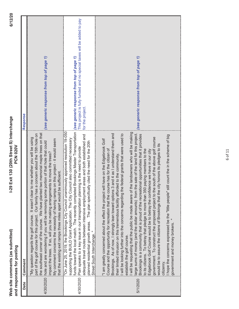| comments (as submitted,      |               |
|------------------------------|---------------|
|                              | lissod.       |
|                              | responses for |
| site<br>$\ddot{\phantom{0}}$ |               |
| Veb                          | and           |

|           | <b>PCN 020V</b><br>and responses for posting                                                                                                                                                                                                                                                                                                                                                                                                                                                                                                                                                                                                                                                                                                                                                                                                                                                                                                                                                                                                                                                                                                                                                                                                                             |                                                                                            |
|-----------|--------------------------------------------------------------------------------------------------------------------------------------------------------------------------------------------------------------------------------------------------------------------------------------------------------------------------------------------------------------------------------------------------------------------------------------------------------------------------------------------------------------------------------------------------------------------------------------------------------------------------------------------------------------------------------------------------------------------------------------------------------------------------------------------------------------------------------------------------------------------------------------------------------------------------------------------------------------------------------------------------------------------------------------------------------------------------------------------------------------------------------------------------------------------------------------------------------------------------------------------------------------------------|--------------------------------------------------------------------------------------------|
| Date      | Comment                                                                                                                                                                                                                                                                                                                                                                                                                                                                                                                                                                                                                                                                                                                                                                                                                                                                                                                                                                                                                                                                                                                                                                                                                                                                  | Response                                                                                   |
| 4/30/2020 | the southeast corner of the course. We have planted two memorial maple trees on that<br>part of the golf course for this project. Our family has a concern about the 15th hole on<br>to me whether you will be using<br>My comment concerns the necessity of having ramps on this project - it would seem<br>hole and are wondering if you will be removing some portion of that hole that could<br>impact the trees. If so, will you be making arrangements to move the trees?<br>e sufficient.<br>"My question regards the golf course. It wasn't clear<br>that the existing exit ramps three miles apart would b                                                                                                                                                                                                                                                                                                                                                                                                                                                                                                                                                                                                                                                      | (see generic response from top of page 1)                                                  |
|           | funds toward the local match. The recently completed Brookings Master Transportation <i>(see generic response from top of page 1)</i><br>"On June 25, 2019, the Brookings City Council unanimously approved resolution 19-050<br>adequate travel routes between intensive employment areas and both established and<br>supporting the BUILD Grant Application. The City Council also committed necessary<br>planned residential growth areas. The plan specifically cited the need for the 20th<br>4/30/2020 iPlan speaks to a key issue in our transportation planning is the need to provide<br>Street South Interchange.                                                                                                                                                                                                                                                                                                                                                                                                                                                                                                                                                                                                                                              | This project is fully funded and no special taxes will be added to pay<br>for the project. |
| 5/1/2020  | I will be requesting that the public be made aware of the landowners who will be making<br>large sums of money (and the dollar amounts) from the sale of the land for this project.<br>3 and 4 as I understand them and<br>ne federal grants that were used to<br>Brookings is a community that is proud of the recreational opportunities that it provides<br>I hope the concerns expressed be the "little people" still count the in the scheme of big<br>government. To construct the proposed project to the south of the above golf course<br>"I am greatly concerned about the effect the project will have on the Edgebrook Golf<br>city honors its pledges to its<br>Course and the opportunity for recreation that the course has for the citizen of<br>to its citizens. To betray that pledge to more than 350 paying members to the<br>Edgebrook Golf Course would be to betray the confidence we have in our city<br>their limited intrusion on this tremendous facility afforded to the community.<br>Brookings. As of now, I strongly lean toward options<br>I will be looking further into the concerns regarding th<br>would be to assure the citizens of Brookings that the<br>government and money brokers.<br>establish the golf course.<br>citizenry | (see generic response from top of page 1)                                                  |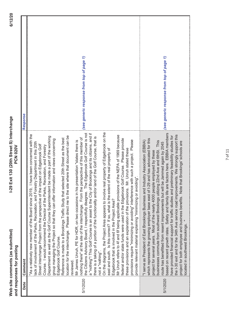Web site comments (as submitted) **Web site comments (as submitted)** and responses for posting **and responses for posting**

| Date     | Comment                                                                                                                                                                                                                                                                                                                                                                                                                                                                                                                                                                                                                                                                                                                                                                                                                                                                                                                                                                                                                                                                                                                                                                                                                                                                                                                                                                                                                                                                                                                                                                                                                                                                                                                                                                                                                                                                                                                     | Response                                  |
|----------|-----------------------------------------------------------------------------------------------------------------------------------------------------------------------------------------------------------------------------------------------------------------------------------------------------------------------------------------------------------------------------------------------------------------------------------------------------------------------------------------------------------------------------------------------------------------------------------------------------------------------------------------------------------------------------------------------------------------------------------------------------------------------------------------------------------------------------------------------------------------------------------------------------------------------------------------------------------------------------------------------------------------------------------------------------------------------------------------------------------------------------------------------------------------------------------------------------------------------------------------------------------------------------------------------------------------------------------------------------------------------------------------------------------------------------------------------------------------------------------------------------------------------------------------------------------------------------------------------------------------------------------------------------------------------------------------------------------------------------------------------------------------------------------------------------------------------------------------------------------------------------------------------------------------------------|-------------------------------------------|
| 5/1/2020 | On the diagrams, the Project Area appears to involve real property of Edgebrook on the<br>The Edgebrook Golf Course is not<br>a "nothing"! This Golf Course is an asset to the City of Brookings and its citizens, and if<br>I have been concerned with the<br>Mr Unruh refers to 4f and 6f being applicable provisions of the NEPA of 1969 because<br>location for the interchange. Please direct me to the site where that document can be<br>Department as well as the Golf Course Superintendent be made a part of the working<br>land of the Golf Course, that is<br>nothing there" at the site of the interchange. From the perspective of this member of<br>elected 20th Street as the best<br>federal and/or state funds were used in the Edgebrook Golf Course. Please provide<br>group managing the Project so that they can offer information and views concerning<br>e with such a project. Please<br>Mr James Unruh, PE for HDR, on two occasions in his presentation "states there is<br>ack of involvement of the Parks, Recreation, and Forestry Department in this 20th<br>impact on Edgebrook Golf<br>Course. I would recommend the Director of the Parks, Recreation, and Forestry<br>Mr. Unruh stated these<br>east and south. Is this correct? If so, what is the extent of the real property of<br>provide relevant material explaining "minimizing or avoiding"<br>there is a taking of a portion of the functionality and/or<br>"As a relatively new member of the Board since 2019,<br>Street Interchange Project from the perspective of the<br>Reference is made to a Brookings Traffic Study that s<br>these provisions and an explanation of the provisions.<br>provisions require "minimizing or avoiding" interferenc<br>the Citizens Advisory Board, I respectfully disagree.<br>Edgebrook that is involved in the Project Area?<br>Edgebrook Golf Course.<br>not a "nothing".<br>reviewed. | (see generic response from top of page 1) |
| 5/1/2020 | based on recent growth rates. Safety and family life are factors here. EBBIA members<br>the I-30 exit and for the 34th Ave service road improvements. We strongly support this<br>preliminary feasibility studies for<br>-29 and has advocated for this<br>I serve as President of East Brookings Business and Industry Association (EBBIA)<br>This<br>project for both employee and business benefits. Note that Brookings' schools are<br>route has benefitted from resent improvements but will be Jammed again by 2045<br>businesses commute from southwest Brookings utilizing 22nd Ave and 6thSt.<br>project for several years. Most of the nearly 4000 people employed by these<br>which represents the growing employer base east of<br>have provided financial support for traffic studies and<br>located in southwest Brookings.                                                                                                                                                                                                                                                                                                                                                                                                                                                                                                                                                                                                                                                                                                                                                                                                                                                                                                                                                                                                                                                                                  | (see generic response from top of page 1) |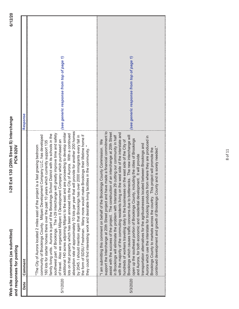| į<br>us sub |               |
|-------------|---------------|
| -s (a       | postin        |
|             |               |
| comments    | responses for |
| site        |               |
| Web         | ลทด           |

| Date     | Comment                                                                                                                                                                                                                                                                                                                                                                                                                                                                                                                                                                                                                                                                                                                                                                                                                                                                                                                                                                                                                                                                                                                                                                       | Response                                  |
|----------|-------------------------------------------------------------------------------------------------------------------------------------------------------------------------------------------------------------------------------------------------------------------------------------------------------------------------------------------------------------------------------------------------------------------------------------------------------------------------------------------------------------------------------------------------------------------------------------------------------------------------------------------------------------------------------------------------------------------------------------------------------------------------------------------------------------------------------------------------------------------------------------------------------------------------------------------------------------------------------------------------------------------------------------------------------------------------------------------------------------------------------------------------------------------------------|-------------------------------------------|
| 5/1/2020 | absorption rate of approximately 10 lots per year that will provide for another 200 homes<br>are proceeding to develop similar<br>southwest part of Brookings. The I-29 interchange will greatly improve time and safety<br>ots on that property which has been annexed into the City of Aurora. With a continued<br>family living units. Aurora is part of the Brookings School District with its schools in the<br>by 2045. I should mention again that Brookings has over 2000 immigrants every fall in<br>community of Brookings County. Wilparc Development Company LLC, has developed<br>the form of SDSU Freshman. Many more would make Brookings their lifetime home if<br>of travel. Also we organized Milparc II Development Company which purchased an<br>160 lots for starter homes there over the past 10 years which currently support 135<br>The City of Aurora located 2 miles east of the project is a fast growing bedroom<br>they could find interesting work and desirable living facilities in the community."<br>additional 140 acres adjoining Milparc to the east and                                                                                 | (see generic response from top of page 1) |
| 5/3/2020 | e made a financial commitment to<br>assist with the success of the project. The construction of an interchange at 20th Street<br>with the majority of the commuting residents living on the west side of the interstate and<br>29 cutting our community in half<br>Brookings which causes traffic concerns due to bottlenecks. The new interchange will<br>Aurora which use the interstate for trucking products from where they are produced in<br>open up the southeast portion of Brookings County, including the cities of Brookings<br>"I am submitting this comment on behalf of the Brookings County Commission. We<br>on the east side of the City of<br>transportation alternatives for the agribusinesses located between Brookings and<br>continued development and growth of Brookings County and is sorely needed."<br>Brookings County to markets across the country. This project will promote the<br>and Aurora, for both economic and residential development. It will provide<br>support the Interchange at 20th Street project and hav<br>in Brookings will eliminate the problem with Interstate<br>nundreds of workers traveling daily to the businesses | (see generic response from top of page 1) |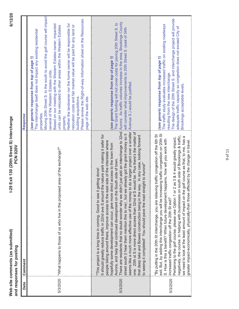|          | -29 Exit 130 (20th Street S) Interchange<br><b>PCN 020V</b><br>Web site comments (as submitted)<br>and responses for posting                                                                                                                                                                                                                                                                                                                                                                                                                                                                                                                                                                                                                                                                                                                                                                                                                                                  | 6/12/2                                                                                                                                                                                                                                                                                                                                                                                                                                                                                                                                                                                                                                                              |
|----------|-------------------------------------------------------------------------------------------------------------------------------------------------------------------------------------------------------------------------------------------------------------------------------------------------------------------------------------------------------------------------------------------------------------------------------------------------------------------------------------------------------------------------------------------------------------------------------------------------------------------------------------------------------------------------------------------------------------------------------------------------------------------------------------------------------------------------------------------------------------------------------------------------------------------------------------------------------------------------------|---------------------------------------------------------------------------------------------------------------------------------------------------------------------------------------------------------------------------------------------------------------------------------------------------------------------------------------------------------------------------------------------------------------------------------------------------------------------------------------------------------------------------------------------------------------------------------------------------------------------------------------------------------------------|
| Date     | Comment                                                                                                                                                                                                                                                                                                                                                                                                                                                                                                                                                                                                                                                                                                                                                                                                                                                                                                                                                                       | Response                                                                                                                                                                                                                                                                                                                                                                                                                                                                                                                                                                                                                                                            |
| 5/3/2020 | "What happens to those of us who live in the proposed area of the exchange?"                                                                                                                                                                                                                                                                                                                                                                                                                                                                                                                                                                                                                                                                                                                                                                                                                                                                                                  | Moving 20th Street S. to the south to avoid the golf course will impact<br>Please review the RIght-of-way Information sheet on the Resources<br>Neither the landowner nor the home owner will be responsible for<br>Based on our meeting with the Western Estates owner, impacted<br>relocation costs and fair market value will be paid for any land or<br>units can be relocated to other areas within the Western Estates<br>The interchange itself does not impact any existing residential<br>(see generic response from top of page 1)<br>several of the Western Estates units.<br>building acquisitions.<br>page of the web site.<br>properties.<br>property |
| 5/3/2020 | There are residents that no doubt wonder why we didn't just add an interchange to 32nd<br>to do a larger project over a smaller<br>would be. Plus there's the matter of<br>street south (I hear them mention this to me), but we already got the grant money so it<br>It should greatly reduce traffic in 22nd ave S around the nature park making it safer for<br>that deep lake and Bowes construction being in the way. In any case, looking forward<br>people biking around there, improve access to the east side of the interstate where<br>hopefully some development can occur, give more direct access to the town from<br>South side of town.<br>to seeing it completed! You should pave the road straight to Aurora!"<br>getting done!<br>"This project is a long time in coming. Good to see it<br>Aurora, and help fuel continued development on the<br>seems like a much more effective use of the money<br>one. 20th st S is more direct access than 32nd st S | Aurora. As traffic volumes increase in the area, Brookings County<br>The Grant funding will not cover costs for paving 20th Street S. to<br>will consider what improvements to 20th Street S. (east of 34th<br>(see generic response from top of page 1)<br>Avenue S.) would be justified.                                                                                                                                                                                                                                                                                                                                                                          |
| 5/3/2020 | exit. But, by adding this interchange you will be increasing traffic congestion on 20th St<br>"By putting in the 20th St interchange, you are relieving traffic congestion off the 6th St<br>negatively, the course. In helping with businesses on south side of Brookings & traffic,<br>golf course as that, to me, has a<br>2 as 3 & 4 would greatly impact,<br>S. How is this a benefit? When future development happens, how will you work with<br>ffected by the change in travel.<br>Pertaining to the golf course, please use Option 1 or<br>we need to look at the least amount of impact on the<br>greater impact-economically, physically-than those a<br>increased traffic congestion off the 20th St exit?                                                                                                                                                                                                                                                        | The design of the 20th Street S. and interchange project will provide<br>The traffic study evaluates increased traffic on existing roadways<br>adequate traffic capacity so congestion does not exceed City of<br>(see generic response from top of page 1)<br>resulting from the new interchange.<br>Brookings acceptable levels.                                                                                                                                                                                                                                                                                                                                  |

I-29 Exit 130 (20th Street S) Interchange **I-29 Exit 130 (20th Street S) Interchange PCN 020V**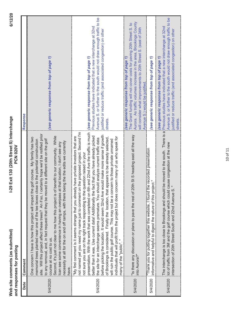Web site comments (as submitted)<br>and responses for posting **Web site comments (as submitted) and responses for posting**

| Date     | Comment                                                                                                                                                                                                                                                                                                                                                                                                                                                                                                                                                                                                                                                                                                                                                                                                                                                                                                                                              | Response                                                                                                                                                                                                                                                                                              |
|----------|------------------------------------------------------------------------------------------------------------------------------------------------------------------------------------------------------------------------------------------------------------------------------------------------------------------------------------------------------------------------------------------------------------------------------------------------------------------------------------------------------------------------------------------------------------------------------------------------------------------------------------------------------------------------------------------------------------------------------------------------------------------------------------------------------------------------------------------------------------------------------------------------------------------------------------------------------|-------------------------------------------------------------------------------------------------------------------------------------------------------------------------------------------------------------------------------------------------------------------------------------------------------|
| 5/4/2020 | site. Will this project affect these trees? An if so, I certainly hope we'd be notified prior<br>benefit to our community. While<br>golf course. My family has two<br>to any removal, and, in fact request that they be moved to a different site on the golf<br>memorial trees planted near one of the tee boxes close to the potential construction<br>necessity at all for the on and off ramps, with there being the the edits we currently<br>Ican see some convenience in having an overpass at that location, I don't see any<br>One concern I have is how this project will impact the<br>Second, it's just not clear to me how this project is of<br>course at no cost to us.<br>have.                                                                                                                                                                                                                                                      | (see generic response from top of page 1)                                                                                                                                                                                                                                                             |
| 5/4/2020 | not named yet you need my name just to comment on the proposed project. Second I'm<br>h and 22nd Ave the traffic is much<br>before picking the location. It would seem 32nd Ave would make more sense if growth<br>"My first comment is it seems strange that you already have private investors that are<br>act that you have already picked<br>individuals that will profit from the project but does concern many of us who speak for<br>appears to be already selected,<br>the site for an interchange seems premature. You should analyze current traffic data<br>will ruin the public golf course. This may not be a concern to those private unnamed<br>not sure you are on the right track responding to the question raised in your<br>presentation. With the work that was completed on 6t<br>of Brookings is considered. Finally the location, that<br>better than it was. Use current data! Additionally the f<br>many of the "public"." | Avenue S. or further to the south would not draw enough traffic to be<br>Previous studies have indicated that a new interchange at 32nd<br>justified or reduce traffic (and associated congestion) on other<br>(see generic response from top of page 1)<br>streets.                                  |
| 5/4/2020 | "Is there any discussion or plans to pave the rest of 20th St S heading east all the way<br> into Aurora?"                                                                                                                                                                                                                                                                                                                                                                                                                                                                                                                                                                                                                                                                                                                                                                                                                                           | Aurora. As traffic volumes increase in the area, Brookings County<br>The Grant funding will not cover costs for paving 20th Street S. to<br>will consider what improvements to 20th Street S. (east of 34th<br>see generic response from top of page 1)<br>Avenue S.) would be justified              |
| 5/4/2020 | "Thank you for putting together this website, I found the recorded presentation<br>informative and helpful to digest the nature of this project.                                                                                                                                                                                                                                                                                                                                                                                                                                                                                                                                                                                                                                                                                                                                                                                                     | see generic response from top of page 1)                                                                                                                                                                                                                                                              |
| 5/4/2020 | cause congestion at the new<br>The interchange is too close to Brookings and should<br>lot of traffic from 3M and the golf course which could<br>intersection of 20th Street South and 22nd Avenue S                                                                                                                                                                                                                                                                                                                                                                                                                                                                                                                                                                                                                                                                                                                                                 | Avenue S. or further to the south would not draw enough traffic to be<br>be moved to the south. There is a Previous studies have indicated that a new interchange at 32nd<br>justified or reduce traffic (and associated congestion) on other<br>(see generic response from top of page 1)<br>streets |